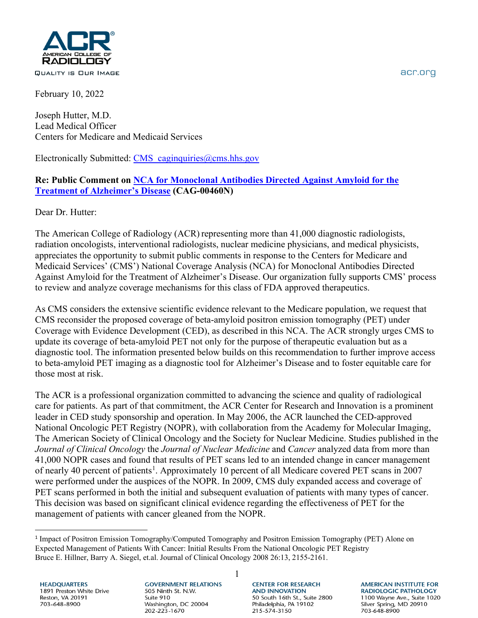

February 10, 2022

Joseph Hutter, M.D. Lead Medical Officer Centers for Medicare and Medicaid Services

Electronically Submitted: CMS caginquiries@cms.hhs.gov

## **Re: Public Comment on [NCA for Monoclonal Antibodies Directed Against Amyloid for the](https://www.cms.gov/medicare-coverage-database/view/ncacal-decision-memo.aspx?proposed=Y&NCAId=305)  [Treatment of Alzheimer's Disease](https://www.cms.gov/medicare-coverage-database/view/ncacal-decision-memo.aspx?proposed=Y&NCAId=305) (CAG-00460N)**

Dear Dr. Hutter:

The American College of Radiology (ACR) representing more than 41,000 diagnostic radiologists, radiation oncologists, interventional radiologists, nuclear medicine physicians, and medical physicists, appreciates the opportunity to submit public comments in response to the Centers for Medicare and Medicaid Services' (CMS') National Coverage Analysis (NCA) for Monoclonal Antibodies Directed Against Amyloid for the Treatment of Alzheimer's Disease. Our organization fully supports CMS' process to review and analyze coverage mechanisms for this class of FDA approved therapeutics.

As CMS considers the extensive scientific evidence relevant to the Medicare population, we request that CMS reconsider the proposed coverage of beta-amyloid positron emission tomography (PET) under Coverage with Evidence Development (CED), as described in this NCA. The ACR strongly urges CMS to update its coverage of beta-amyloid PET not only for the purpose of therapeutic evaluation but as a diagnostic tool. The information presented below builds on this recommendation to further improve access to beta-amyloid PET imaging as a diagnostic tool for Alzheimer's Disease and to foster equitable care for those most at risk.

The ACR is a professional organization committed to advancing the science and quality of radiological care for patients. As part of that commitment, the ACR Center for Research and Innovation is a prominent leader in CED study sponsorship and operation. In May 2006, the ACR launched the CED-approved National Oncologic PET Registry (NOPR), with collaboration from the Academy for Molecular Imaging, The American Society of Clinical Oncology and the Society for Nuclear Medicine. Studies published in the *Journal of Clinical Oncology* the *Journal of Nuclear Medicine* and *Cancer* analyzed data from more than 41,000 NOPR cases and found that results of PET scans led to an intended change in cancer management of nearly 40 percent of patients<sup>[1](#page-0-0)</sup>. Approximately 10 percent of all Medicare covered PET scans in 2007 were performed under the auspices of the NOPR. In 2009, CMS duly expanded access and coverage of PET scans performed in both the initial and subsequent evaluation of patients with many types of cancer. This decision was based on significant clinical evidence regarding the effectiveness of PET for the management of patients with cancer gleaned from the NOPR.

1

**HEADQUARTERS** 1891 Preston White Drive Reston, VA 20191 703-648-8900

**GOVERNMENT RELATIONS** 505 Ninth St. N.W. Suite 910 Washington, DC 20004 202-223-1670

**CENTER FOR RESEARCH AND INNOVATION** 50 South 16th St., Suite 2800 Philadelphia, PA 19102 215-574-3150

**AMERICAN INSTITUTE FOR RADIOLOGIC PATHOLOGY** 1100 Wayne Ave., Suite 1020 Silver Spring, MD 20910 703-648-8900

acr.org

<span id="page-0-0"></span><sup>1</sup> Impact of Positron Emission Tomography/Computed Tomography and Positron Emission Tomography (PET) Alone on Expected Management of Patients With Cancer: Initial Results From the National Oncologic PET Registry Bruce E. Hillner, Barry A. Siegel, et.al. Journal of Clinical Oncology 2008 26:13, 2155-2161.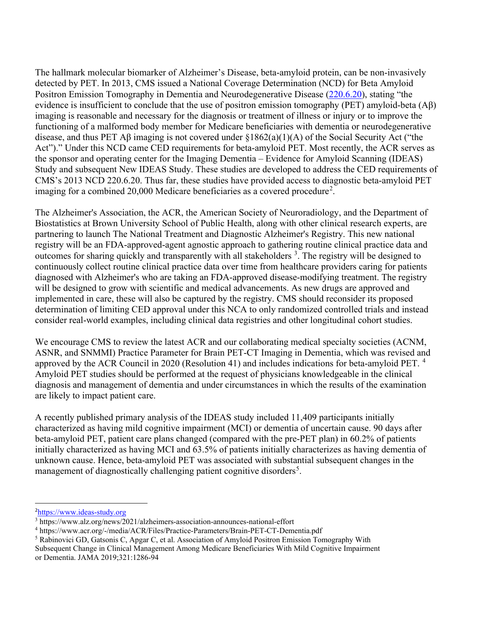The hallmark molecular biomarker of Alzheimer's Disease, beta-amyloid protein, can be non-invasively detected by PET. In 2013, CMS issued a National Coverage Determination (NCD) for Beta Amyloid Positron Emission Tomography in Dementia and Neurodegenerative Disease [\(220.6.20\)](https://www.cms.gov/medicare-coverage-database/view/ncacal-decision-memo.aspx?proposed=N&NCAId=265), stating "the evidence is insufficient to conclude that the use of positron emission tomography (PET) amyloid-beta (Aβ) imaging is reasonable and necessary for the diagnosis or treatment of illness or injury or to improve the functioning of a malformed body member for Medicare beneficiaries with dementia or neurodegenerative disease, and thus PET Aβ imaging is not covered under §1862(a)(1)(A) of the Social Security Act ("the Act")." Under this NCD came CED requirements for beta-amyloid PET. Most recently, the ACR serves as the sponsor and operating center for the Imaging Dementia – Evidence for Amyloid Scanning (IDEAS) Study and subsequent New IDEAS Study. These studies are developed to address the CED requirements of CMS's 2013 NCD 220.6.20. Thus far, these studies have provided access to diagnostic beta-amyloid PET imaging for a combined [2](#page-1-0)0,000 Medicare beneficiaries as a covered procedure<sup>2</sup>.

The Alzheimer's Association, the ACR, the American Society of Neuroradiology, and the Department of Biostatistics at Brown University School of Public Health, along with other clinical research experts, are partnering to launch The National Treatment and Diagnostic Alzheimer's Registry. This new national registry will be an FDA-approved-agent agnostic approach to gathering routine clinical practice data and outcomes for sharing quickly and transparently with all stakeholders<sup>[3](#page-1-1)</sup>. The registry will be designed to continuously collect routine clinical practice data over time from healthcare providers caring for patients diagnosed with Alzheimer's who are taking an FDA-approved disease-modifying treatment. The registry will be designed to grow with scientific and medical advancements. As new drugs are approved and implemented in care, these will also be captured by the registry. CMS should reconsider its proposed determination of limiting CED approval under this NCA to only randomized controlled trials and instead consider real-world examples, including clinical data registries and other longitudinal cohort studies.

We encourage CMS to review the latest ACR and our collaborating medical specialty societies (ACNM, ASNR, and SNMMI) Practice Parameter for Brain PET-CT Imaging in Dementia, which was revised and approved by the ACR Council in 2020 (Resolution [4](#page-1-2)1) and includes indications for beta-amyloid PET.<sup>4</sup> Amyloid PET studies should be performed at the request of physicians knowledgeable in the clinical diagnosis and management of dementia and under circumstances in which the results of the examination are likely to impact patient care.

A recently published primary analysis of the IDEAS study included 11,409 participants initially characterized as having mild cognitive impairment (MCI) or dementia of uncertain cause. 90 days after beta-amyloid PET, patient care plans changed (compared with the pre-PET plan) in 60.2% of patients initially characterized as having MCI and 63.5% of patients initially characterizes as having dementia of unknown cause. Hence, beta-amyloid PET was associated with substantial subsequent changes in the management of diagnostically challenging patient cognitive disorders<sup>[5](#page-1-3)</sup>.

<span id="page-1-0"></span><sup>&</sup>lt;sup>2</sup>https://www.ideas-study.org

<span id="page-1-1"></span> $3$  https://www.alz.org/news/2021/alzheimers-association-announces-national-effort

<span id="page-1-2"></span><sup>4</sup> https://www.acr.org/-/media/ACR/Files/Practice-Parameters/Brain-PET-CT-Dementia.pdf

<span id="page-1-3"></span><sup>&</sup>lt;sup>5</sup> Rabinovici GD, Gatsonis C, Apgar C, et al. Association of Amyloid Positron Emission Tomography With

Subsequent Change in Clinical Management Among Medicare Beneficiaries With Mild Cognitive Impairment or Dementia. JAMA 2019;321:1286-94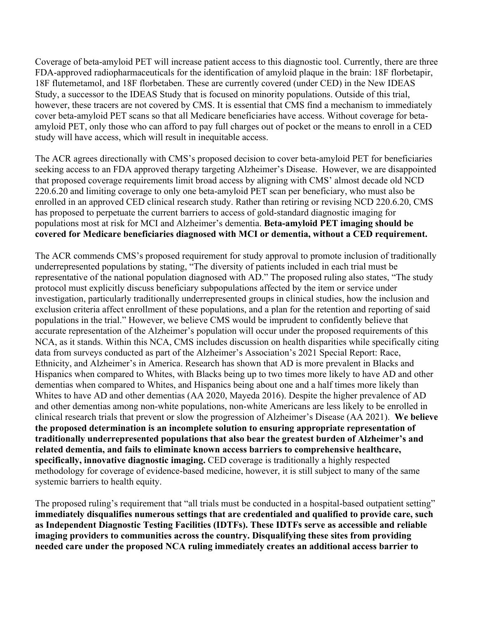Coverage of beta-amyloid PET will increase patient access to this diagnostic tool. Currently, there are three FDA-approved radiopharmaceuticals for the identification of amyloid plaque in the brain: 18F florbetapir, 18F flutemetamol, and 18F florbetaben. These are currently covered (under CED) in the New IDEAS Study, a successor to the IDEAS Study that is focused on minority populations. Outside of this trial, however, these tracers are not covered by CMS. It is essential that CMS find a mechanism to immediately cover beta-amyloid PET scans so that all Medicare beneficiaries have access. Without coverage for betaamyloid PET, only those who can afford to pay full charges out of pocket or the means to enroll in a CED study will have access, which will result in inequitable access.

The ACR agrees directionally with CMS's proposed decision to cover beta-amyloid PET for beneficiaries seeking access to an FDA approved therapy targeting Alzheimer's Disease. However, we are disappointed that proposed coverage requirements limit broad access by aligning with CMS' almost decade old NCD 220.6.20 and limiting coverage to only one beta-amyloid PET scan per beneficiary, who must also be enrolled in an approved CED clinical research study. Rather than retiring or revising NCD 220.6.20, CMS has proposed to perpetuate the current barriers to access of gold-standard diagnostic imaging for populations most at risk for MCI and Alzheimer's dementia. **Beta-amyloid PET imaging should be covered for Medicare beneficiaries diagnosed with MCI or dementia, without a CED requirement.** 

The ACR commends CMS's proposed requirement for study approval to promote inclusion of traditionally underrepresented populations by stating, "The diversity of patients included in each trial must be representative of the national population diagnosed with AD." The proposed ruling also states, "The study protocol must explicitly discuss beneficiary subpopulations affected by the item or service under investigation, particularly traditionally underrepresented groups in clinical studies, how the inclusion and exclusion criteria affect enrollment of these populations, and a plan for the retention and reporting of said populations in the trial." However, we believe CMS would be imprudent to confidently believe that accurate representation of the Alzheimer's population will occur under the proposed requirements of this NCA, as it stands. Within this NCA, CMS includes discussion on health disparities while specifically citing data from surveys conducted as part of the Alzheimer's Association's 2021 Special Report: Race, Ethnicity, and Alzheimer's in America. Research has shown that AD is more prevalent in Blacks and Hispanics when compared to Whites, with Blacks being up to two times more likely to have AD and other dementias when compared to Whites, and Hispanics being about one and a half times more likely than Whites to have AD and other dementias (AA 2020, Mayeda 2016). Despite the higher prevalence of AD and other dementias among non-white populations, non-white Americans are less likely to be enrolled in clinical research trials that prevent or slow the progression of Alzheimer's Disease (AA 2021). **We believe the proposed determination is an incomplete solution to ensuring appropriate representation of traditionally underrepresented populations that also bear the greatest burden of Alzheimer's and related dementia, and fails to eliminate known access barriers to comprehensive healthcare, specifically, innovative diagnostic imaging.** CED coverage is traditionally a highly respected methodology for coverage of evidence-based medicine, however, it is still subject to many of the same systemic barriers to health equity.

The proposed ruling's requirement that "all trials must be conducted in a hospital-based outpatient setting" **immediately disqualifies numerous settings that are credentialed and qualified to provide care, such as Independent Diagnostic Testing Facilities (IDTFs). These IDTFs serve as accessible and reliable imaging providers to communities across the country. Disqualifying these sites from providing needed care under the proposed NCA ruling immediately creates an additional access barrier to**